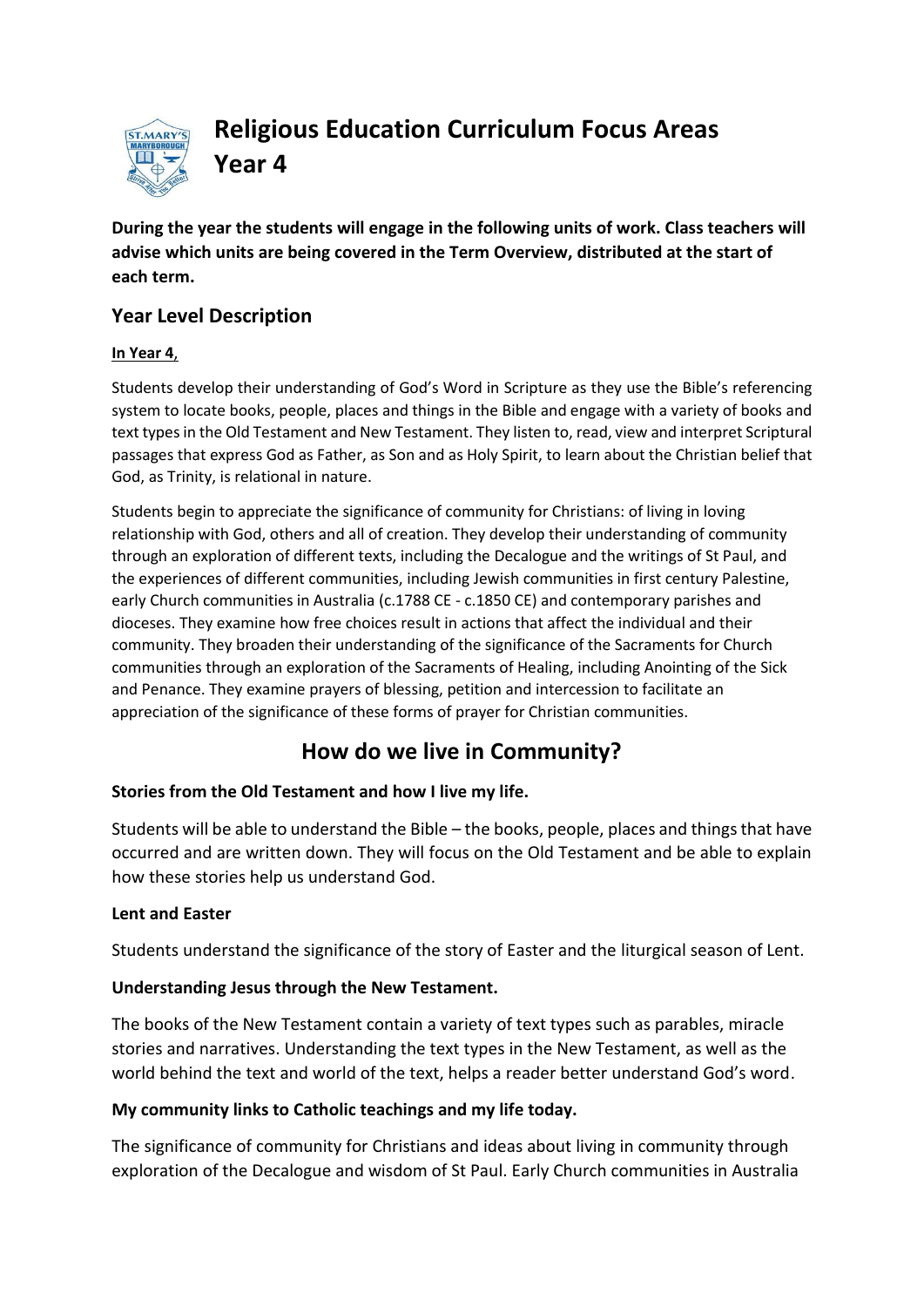

**Religious Education Curriculum Focus Areas Year 4**

**During the year the students will engage in the following units of work. Class teachers will advise which units are being covered in the Term Overview, distributed at the start of each term.**

## **Year Level Description**

#### **In Year 4**,

Students develop their understanding of God's Word in [Scripture](http://www.rec.bne.catholic.edu.au/Pages/Religious-Education.aspx) as they use the Bible's referencing system to locate books, people, places and things in the Bible and engage with a variety of books and text types in th[e Old Testament](http://www.rec.bne.catholic.edu.au/Pages/Religious-Education.aspx) and [New Testament.](http://www.rec.bne.catholic.edu.au/Pages/Religious-Education.aspx) They listen to, read, view and interpret Scriptural passages that express God as Father, as Son and as Holy Spirit, to learn about the Christian belief that God, as [Trinity,](http://www.rec.bne.catholic.edu.au/Pages/Religious-Education.aspx) is relational in nature.

Students begin to appreciate the significance of community for Christians: of living in loving relationship with God, others and all of creation. They develop their understanding of community through an exploration of different texts, including the [Decalogue](http://www.rec.bne.catholic.edu.au/Pages/Religious-Education.aspx) and the writings of St Paul, and the experiences of different communities, including Jewish communities in first century Palestine, early Church communities in Australia (c.1788 CE - c.1850 CE) and contemporary parishes and dioceses. They examine how free choices result in actions that affect the individual and their community. They broaden their understanding of the significance of the Sacraments for Church communities through an exploration of the Sacraments of Healing, including Anointing of the Sick and Penance. They examine prayers of ble[ssing](http://www.rec.bne.catholic.edu.au/Pages/Religious-Education.aspx), petition and intercession to facilitate an appreciation of the significance of these forms of prayer for Christian communities.

# **How do we live in Community?**

#### **Stories from the Old Testament and how I live my life.**

Students will be able to understand the Bible – the books, people, places and things that have occurred and are written down. They will focus on the Old Testament and be able to explain how these stories help us understand God.

#### **Lent and Easter**

Students understand the significance of the story of Easter and the liturgical season of Lent.

#### **Understanding Jesus through the New Testament.**

The books of the New Testament contain a variety of text types such as parables, miracle stories and narratives. Understanding the text types in the New Testament, as well as the world behind the text and world of the text, helps a reader better understand God's word.

#### **My community links to Catholic teachings and my life today.**

The significance of community for Christians and ideas about living in community through exploration of the Decalogue and wisdom of St Paul. Early Church communities in Australia